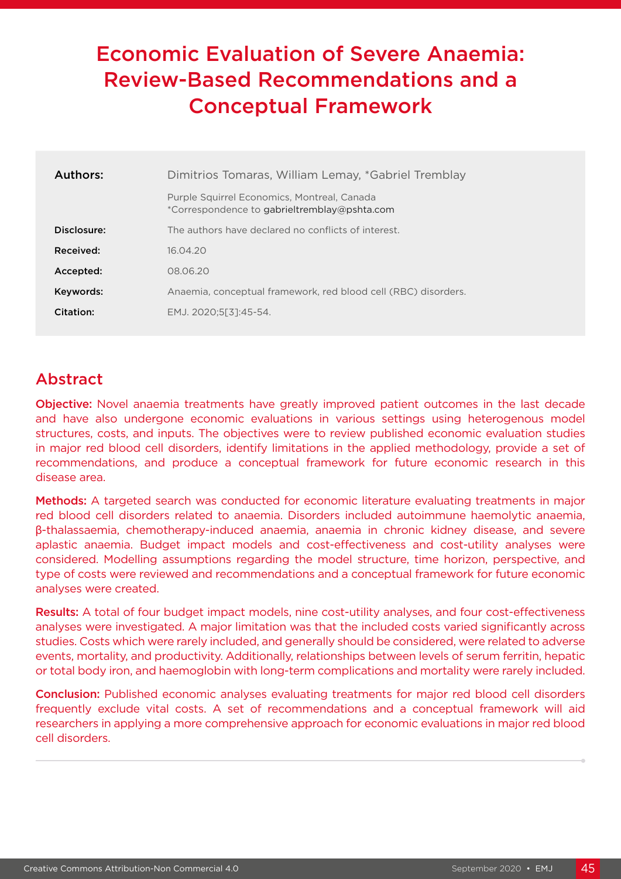# Economic Evaluation of Severe Anaemia: Review-Based Recommendations and a Conceptual Framework

| Authors:    | Dimitrios Tomaras, William Lemay, *Gabriel Tremblay                                         |
|-------------|---------------------------------------------------------------------------------------------|
|             | Purple Squirrel Economics, Montreal, Canada<br>*Correspondence to gabrieltremblay@pshta.com |
| Disclosure: | The authors have declared no conflicts of interest.                                         |
| Received:   | 16.04.20                                                                                    |
| Accepted:   | 08.06.20                                                                                    |
| Keywords:   | Anaemia, conceptual framework, red blood cell (RBC) disorders.                              |
| Citation:   | EMJ. 2020:5[3]:45-54.                                                                       |

## Abstract

**Objective:** Novel anaemia treatments have greatly improved patient outcomes in the last decade and have also undergone economic evaluations in various settings using heterogenous model structures, costs, and inputs. The objectives were to review published economic evaluation studies in major red blood cell disorders, identify limitations in the applied methodology, provide a set of recommendations, and produce a conceptual framework for future economic research in this disease area.

Methods: A targeted search was conducted for economic literature evaluating treatments in major red blood cell disorders related to anaemia. Disorders included autoimmune haemolytic anaemia, β-thalassaemia, chemotherapy-induced anaemia, anaemia in chronic kidney disease, and severe aplastic anaemia. Budget impact models and cost-effectiveness and cost-utility analyses were considered. Modelling assumptions regarding the model structure, time horizon, perspective, and type of costs were reviewed and recommendations and a conceptual framework for future economic analyses were created.

Results: A total of four budget impact models, nine cost-utility analyses, and four cost-effectiveness analyses were investigated. A major limitation was that the included costs varied significantly across studies. Costs which were rarely included, and generally should be considered, were related to adverse events, mortality, and productivity. Additionally, relationships between levels of serum ferritin, hepatic or total body iron, and haemoglobin with long-term complications and mortality were rarely included.

Conclusion: Published economic analyses evaluating treatments for major red blood cell disorders frequently exclude vital costs. A set of recommendations and a conceptual framework will aid researchers in applying a more comprehensive approach for economic evaluations in major red blood cell disorders.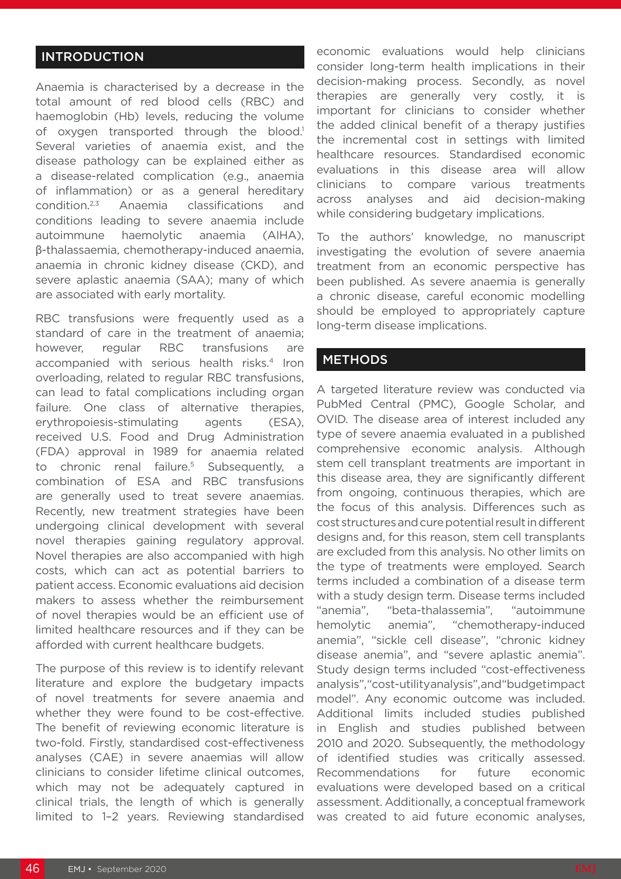#### INTRODUCTION

Anaemia is characterised by a decrease in the total amount of red blood cells (RBC) and haemoglobin (Hb) levels, reducing the volume of oxygen transported through the blood.<sup>1</sup> Several varieties of anaemia exist, and the disease pathology can be explained either as a disease-related complication (e.g., anaemia of inflammation) or as a general hereditary condition.2,3 Anaemia classifications and conditions leading to severe anaemia include autoimmune haemolytic anaemia (AIHA), β-thalassaemia, chemotherapy-induced anaemia, anaemia in chronic kidney disease (CKD), and severe aplastic anaemia (SAA); many of which are associated with early mortality.

RBC transfusions were frequently used as a standard of care in the treatment of anaemia; however, regular RBC transfusions are accompanied with serious health risks.<sup>4</sup> Iron overloading, related to regular RBC transfusions, can lead to fatal complications including organ failure. One class of alternative therapies, erythropoiesis-stimulating agents (ESA), received U.S. Food and Drug Administration (FDA) approval in 1989 for anaemia related to chronic renal failure.<sup>5</sup> Subsequently, a combination of ESA and RBC transfusions are generally used to treat severe anaemias. Recently, new treatment strategies have been undergoing clinical development with several novel therapies gaining regulatory approval. Novel therapies are also accompanied with high costs, which can act as potential barriers to patient access. Economic evaluations aid decision makers to assess whether the reimbursement of novel therapies would be an efficient use of limited healthcare resources and if they can be afforded with current healthcare budgets.

The purpose of this review is to identify relevant literature and explore the budgetary impacts of novel treatments for severe anaemia and whether they were found to be cost-effective. The benefit of reviewing economic literature is two-fold. Firstly, standardised cost-effectiveness analyses (CAE) in severe anaemias will allow clinicians to consider lifetime clinical outcomes, which may not be adequately captured in clinical trials, the length of which is generally limited to 1–2 years. Reviewing standardised

economic evaluations would help clinicians consider long-term health implications in their decision-making process. Secondly, as novel therapies are generally very costly, it is important for clinicians to consider whether the added clinical benefit of a therapy justifies the incremental cost in settings with limited healthcare resources. Standardised economic evaluations in this disease area will allow clinicians to compare various treatments across analyses and aid decision-making while considering budgetary implications.

To the authors' knowledge, no manuscript investigating the evolution of severe anaemia treatment from an economic perspective has been published. As severe anaemia is generally a chronic disease, careful economic modelling should be employed to appropriately capture long-term disease implications.

#### **METHODS**

A targeted literature review was conducted via PubMed Central (PMC), Google Scholar, and OVID. The disease area of interest included any type of severe anaemia evaluated in a published comprehensive economic analysis. Although stem cell transplant treatments are important in this disease area, they are significantly different from ongoing, continuous therapies, which are the focus of this analysis. Differences such as cost structures and cure potential result in different designs and, for this reason, stem cell transplants are excluded from this analysis. No other limits on the type of treatments were employed. Search terms included a combination of a disease term with a study design term. Disease terms included "anemia", "beta-thalassemia", "autoimmune hemolytic anemia", "chemotherapy-induced anemia", "sickle cell disease", "chronic kidney disease anemia", and "severe aplastic anemia". Study design terms included "cost-effectiveness analysis", "cost-utility analysis", and "budget impact model". Any economic outcome was included. Additional limits included studies published in English and studies published between 2010 and 2020. Subsequently, the methodology of identified studies was critically assessed. Recommendations for future economic evaluations were developed based on a critical assessment. Additionally, a conceptual framework was created to aid future economic analyses,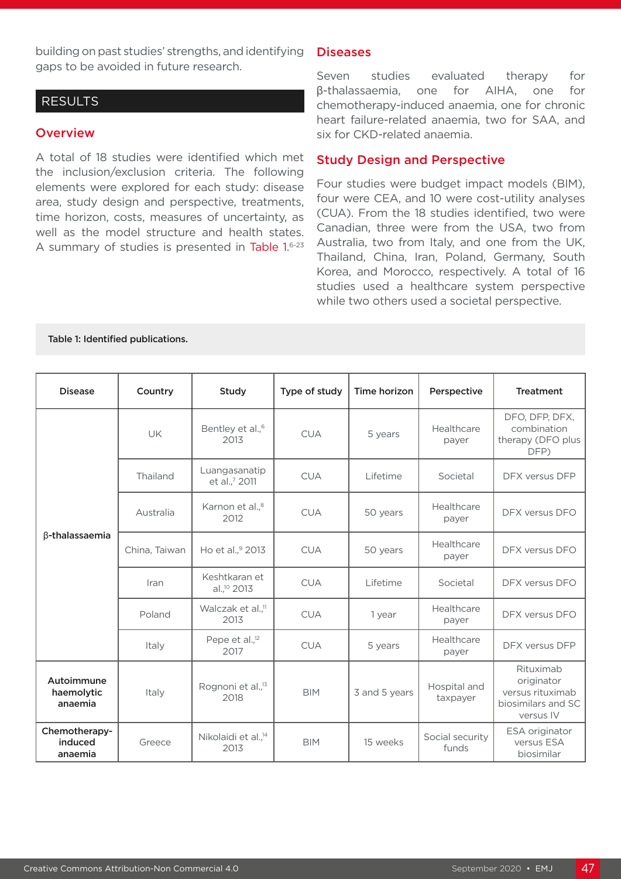building on past studies' strengths, and identifying gaps to be avoided in future research.

#### RESULTS

#### **Overview**

A total of 18 studies were identified which met the inclusion/exclusion criteria. The following elements were explored for each study: disease area, study design and perspective, treatments, time horizon, costs, measures of uncertainty, as well as the model structure and health states. A summary of studies is presented in Table 1.6-23

#### **Diseases**

Seven studies evaluated therapy for β-thalassaemia, one for AIHA, one for chemotherapy-induced anaemia, one for chronic heart failure-related anaemia, two for SAA, and six for CKD-related anaemia.

#### Study Design and Perspective

Four studies were budget impact models (BIM), four were CEA, and 10 were cost-utility analyses (CUA). From the 18 studies identified, two were Canadian, three were from the USA, two from Australia, two from Italy, and one from the UK, Thailand, China, Iran, Poland, Germany, South Korea, and Morocco, respectively. A total of 16 studies used a healthcare system perspective while two others used a societal perspective.

#### Table 1: Identified publications.

| <b>Disease</b>                      | Country       | Study                                    | Type of study | Time horizon  | Perspective              | <b>Treatment</b>                                                               |
|-------------------------------------|---------------|------------------------------------------|---------------|---------------|--------------------------|--------------------------------------------------------------------------------|
| β-thalassaemia                      | <b>UK</b>     | Bentley et al., <sup>6</sup><br>2013     | <b>CUA</b>    | 5 years       | Healthcare<br>payer      | DFO, DFP, DFX,<br>combination<br>therapy (DFO plus<br>DFP)                     |
|                                     | Thailand      | Luangasanatip<br>et al.,7 2011           | <b>CUA</b>    | Lifetime      | Societal                 | DFX versus DFP                                                                 |
|                                     | Australia     | Karnon et al., <sup>8</sup><br>2012      | <b>CUA</b>    | 50 years      | Healthcare<br>payer      | DFX versus DFO                                                                 |
|                                     | China, Taiwan | Ho et al., <sup>9</sup> 2013             | <b>CUA</b>    | 50 years      | Healthcare<br>payer      | DFX versus DFO                                                                 |
|                                     | Iran          | Keshtkaran et<br>al., <sup>10</sup> 2013 | <b>CUA</b>    | Lifetime      | Societal                 | DFX versus DFO                                                                 |
|                                     | Poland        | Walczak et al., <sup>11</sup><br>2013    | <b>CUA</b>    | 1 year        | Healthcare<br>payer      | DFX versus DFO                                                                 |
|                                     | Italy         | Pepe et al., <sup>12</sup><br>2017       | <b>CUA</b>    | 5 years       | Healthcare<br>payer      | DFX versus DFP                                                                 |
| Autoimmune<br>haemolytic<br>anaemia | Italy         | Rognoni et al., <sup>13</sup><br>2018    | <b>BIM</b>    | 3 and 5 years | Hospital and<br>taxpayer | Rituximab<br>originator<br>versus rituximab<br>biosimilars and SC<br>versus IV |
| Chemotherapy-<br>induced<br>anaemia | Greece        | Nikolaidi et al., <sup>14</sup><br>2013  | <b>BIM</b>    | 15 weeks      | Social security<br>funds | ESA originator<br>versus ESA<br>biosimilar                                     |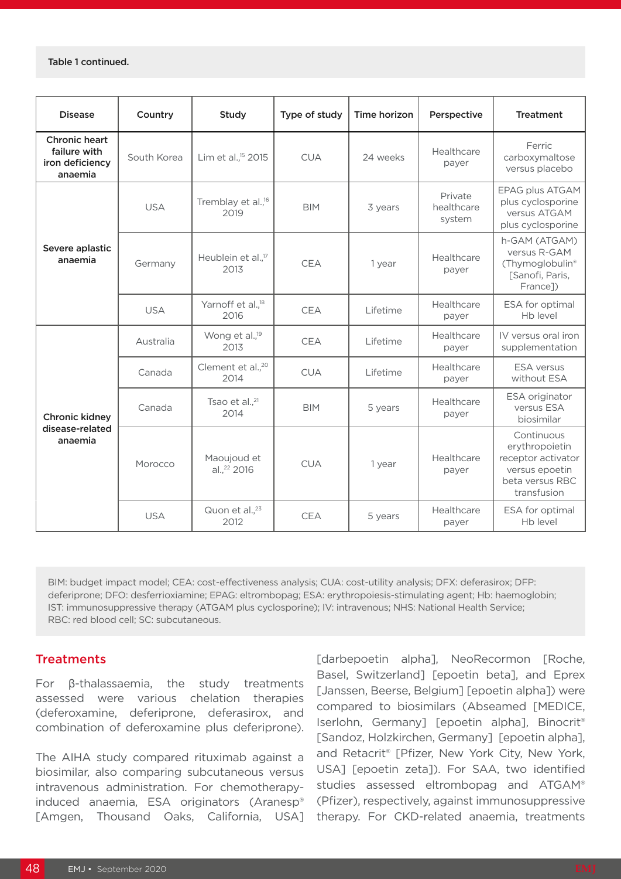#### Table 1 continued.

| <b>Disease</b>                                                     | Country     | Study                                  | Type of study | Time horizon | Perspective                     | <b>Treatment</b>                                                                                       |
|--------------------------------------------------------------------|-------------|----------------------------------------|---------------|--------------|---------------------------------|--------------------------------------------------------------------------------------------------------|
| <b>Chronic heart</b><br>failure with<br>iron deficiency<br>anaemia | South Korea | Lim et al., <sup>15</sup> 2015         | <b>CUA</b>    | 24 weeks     | Healthcare<br>payer             | Ferric<br>carboxymaltose<br>versus placebo                                                             |
| Severe aplastic<br>anaemia                                         | <b>USA</b>  | Tremblay et al., <sup>16</sup><br>2019 | <b>BIM</b>    | 3 years      | Private<br>healthcare<br>system | <b>EPAG plus ATGAM</b><br>plus cyclosporine<br>versus ATGAM<br>plus cyclosporine                       |
|                                                                    | Germany     | Heublein et al., <sup>17</sup><br>2013 | <b>CEA</b>    | 1 year       | Healthcare<br>payer             | h-GAM (ATGAM)<br>versus R-GAM<br>(Thymoglobulin®<br>[Sanofi, Paris,<br>France])                        |
|                                                                    | <b>USA</b>  | Yarnoff et al., <sup>18</sup><br>2016  | <b>CEA</b>    | Lifetime     | Healthcare<br>payer             | ESA for optimal<br>Hb level                                                                            |
| <b>Chronic kidney</b><br>disease-related<br>anaemia                | Australia   | Wong et al., <sup>19</sup><br>2013     | <b>CEA</b>    | Lifetime     | Healthcare<br>payer             | IV versus oral iron<br>supplementation                                                                 |
|                                                                    | Canada      | Clement et al., <sup>20</sup><br>2014  | <b>CUA</b>    | Lifetime     | Healthcare<br>payer             | <b>ESA</b> versus<br>without ESA                                                                       |
|                                                                    | Canada      | Tsao et al., <sup>21</sup><br>2014     | <b>BIM</b>    | 5 years      | Healthcare<br>payer             | ESA originator<br>versus ESA<br>biosimilar                                                             |
|                                                                    | Morocco     | Maoujoud et<br>al., <sup>22</sup> 2016 | <b>CUA</b>    | 1 year       | Healthcare<br>payer             | Continuous<br>erythropoietin<br>receptor activator<br>versus epoetin<br>beta versus RBC<br>transfusion |
|                                                                    | <b>USA</b>  | Quon et al., <sup>23</sup><br>2012     | <b>CEA</b>    | 5 years      | Healthcare<br>payer             | ESA for optimal<br>Hb level                                                                            |

BIM: budget impact model; CEA: cost-effectiveness analysis; CUA: cost-utility analysis; DFX: deferasirox; DFP: deferiprone; DFO: desferrioxiamine; EPAG: eltrombopag; ESA: erythropoiesis-stimulating agent; Hb: haemoglobin; IST: immunosuppressive therapy (ATGAM plus cyclosporine); IV: intravenous; NHS: National Health Service; RBC: red blood cell; SC: subcutaneous.

#### **Treatments**

For β-thalassaemia, the study treatments assessed were various chelation therapies (deferoxamine, deferiprone, deferasirox, and combination of deferoxamine plus deferiprone).

The AIHA study compared rituximab against a biosimilar, also comparing subcutaneous versus intravenous administration. For chemotherapyinduced anaemia, ESA originators (Aranesp® [Amgen, Thousand Oaks, California, USA]

[darbepoetin alpha], NeoRecormon [Roche, Basel, Switzerland] [epoetin beta], and Eprex [Janssen, Beerse, Belgium] [epoetin alpha]) were compared to biosimilars (Abseamed [MEDICE, Iserlohn, Germany] [epoetin alpha], Binocrit® [Sandoz, Holzkirchen, Germany] [epoetin alpha], and Retacrit® [Pfizer, New York City, New York, USA] [epoetin zeta]). For SAA, two identified studies assessed eltrombopag and ATGAM® (Pfizer), respectively, against immunosuppressive therapy. For CKD-related anaemia, treatments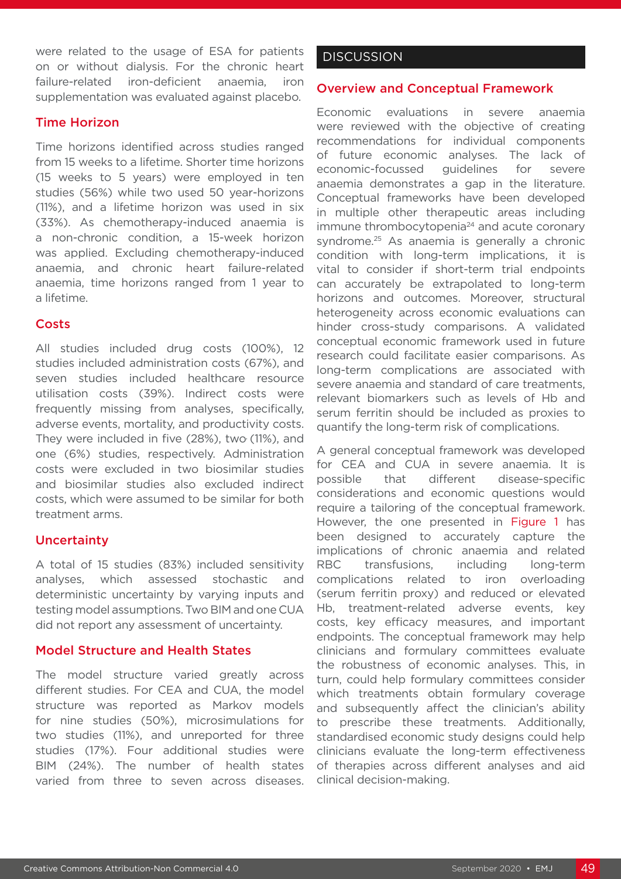were related to the usage of ESA for patients on or without dialysis. For the chronic heart failure-related iron-deficient anaemia, iron supplementation was evaluated against placebo.

#### Time Horizon

Time horizons identified across studies ranged from 15 weeks to a lifetime. Shorter time horizons (15 weeks to 5 years) were employed in ten studies (56%) while two used 50 year-horizons (11%), and a lifetime horizon was used in six (33%). As chemotherapy-induced anaemia is a non-chronic condition, a 15-week horizon was applied. Excluding chemotherapy-induced anaemia, and chronic heart failure-related anaemia, time horizons ranged from 1 year to a lifetime.

#### **Costs**

All studies included drug costs (100%), 12 studies included administration costs (67%), and seven studies included healthcare resource utilisation costs (39%). Indirect costs were frequently missing from analyses, specifically, adverse events, mortality, and productivity costs. They were included in five (28%), two (11%), and one (6%) studies, respectively. Administration costs were excluded in two biosimilar studies and biosimilar studies also excluded indirect costs, which were assumed to be similar for both treatment arms.

#### **Uncertainty**

A total of 15 studies (83%) included sensitivity analyses, which assessed stochastic and deterministic uncertainty by varying inputs and testing model assumptions. Two BIM and one CUA did not report any assessment of uncertainty.

#### Model Structure and Health States

The model structure varied greatly across different studies. For CEA and CUA, the model structure was reported as Markov models for nine studies (50%), microsimulations for two studies (11%), and unreported for three studies (17%). Four additional studies were BIM (24%). The number of health states varied from three to seven across diseases.

#### **DISCUSSION**

#### Overview and Conceptual Framework

Economic evaluations in severe anaemia were reviewed with the objective of creating recommendations for individual components of future economic analyses. The lack of economic-focussed guidelines for severe anaemia demonstrates a gap in the literature. Conceptual frameworks have been developed in multiple other therapeutic areas including immune thrombocytopenia<sup>24</sup> and acute coronary syndrome.<sup>25</sup> As anaemia is generally a chronic condition with long-term implications, it is vital to consider if short-term trial endpoints can accurately be extrapolated to long-term horizons and outcomes. Moreover, structural heterogeneity across economic evaluations can hinder cross-study comparisons. A validated conceptual economic framework used in future research could facilitate easier comparisons. As long-term complications are associated with severe anaemia and standard of care treatments, relevant biomarkers such as levels of Hb and serum ferritin should be included as proxies to quantify the long-term risk of complications.

A general conceptual framework was developed for CEA and CUA in severe anaemia. It is possible that different disease-specific considerations and economic questions would require a tailoring of the conceptual framework. However, the one presented in Figure 1 has been designed to accurately capture the implications of chronic anaemia and related RBC transfusions, including long-term complications related to iron overloading (serum ferritin proxy) and reduced or elevated Hb, treatment-related adverse events, key costs, key efficacy measures, and important endpoints. The conceptual framework may help clinicians and formulary committees evaluate the robustness of economic analyses. This, in turn, could help formulary committees consider which treatments obtain formulary coverage and subsequently affect the clinician's ability to prescribe these treatments. Additionally, standardised economic study designs could help clinicians evaluate the long-term effectiveness of therapies across different analyses and aid clinical decision-making.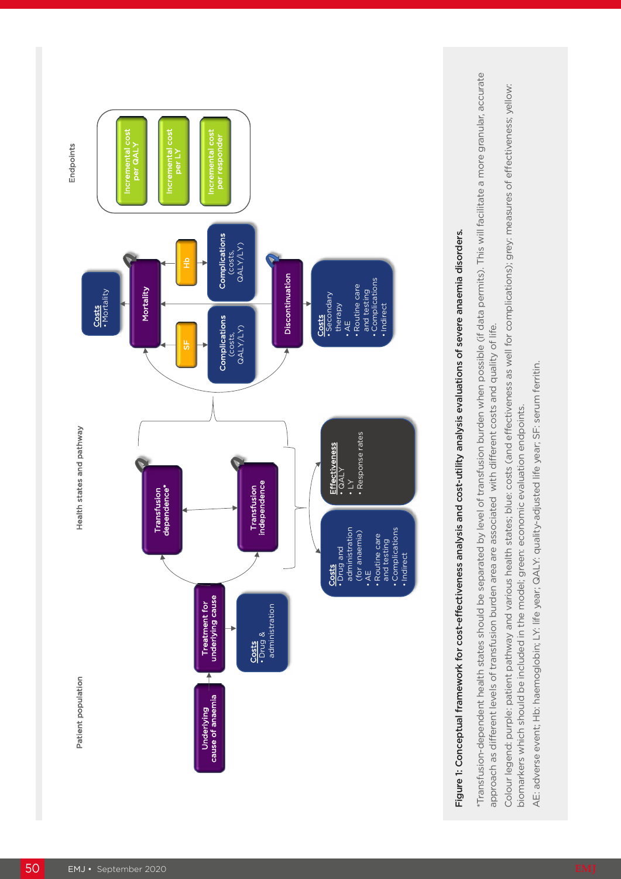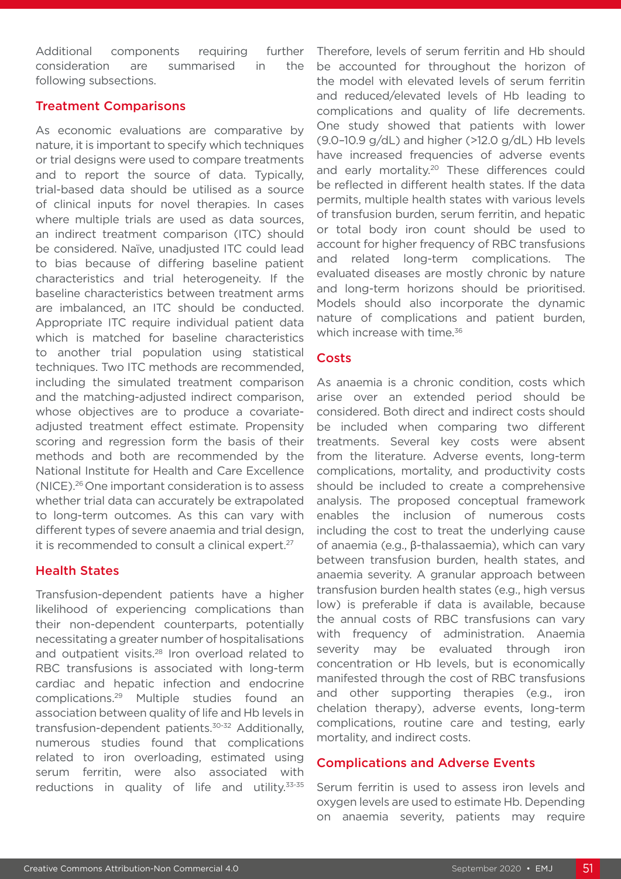Additional components requiring further consideration are summarised in the following subsections.

#### Treatment Comparisons

As economic evaluations are comparative by nature, it is important to specify which techniques or trial designs were used to compare treatments and to report the source of data. Typically, trial-based data should be utilised as a source of clinical inputs for novel therapies. In cases where multiple trials are used as data sources, an indirect treatment comparison (ITC) should be considered. Naïve, unadjusted ITC could lead to bias because of differing baseline patient characteristics and trial heterogeneity. If the baseline characteristics between treatment arms are imbalanced, an ITC should be conducted. Appropriate ITC require individual patient data which is matched for baseline characteristics to another trial population using statistical techniques. Two ITC methods are recommended, including the simulated treatment comparison and the matching-adjusted indirect comparison, whose objectives are to produce a covariateadjusted treatment effect estimate. Propensity scoring and regression form the basis of their methods and both are recommended by the National Institute for Health and Care Excellence (NICE).26 One important consideration is to assess whether trial data can accurately be extrapolated to long-term outcomes. As this can vary with different types of severe anaemia and trial design, it is recommended to consult a clinical expert.<sup>27</sup>

#### Health States

Transfusion-dependent patients have a higher likelihood of experiencing complications than their non-dependent counterparts, potentially necessitating a greater number of hospitalisations and outpatient visits.<sup>28</sup> Iron overload related to RBC transfusions is associated with long-term cardiac and hepatic infection and endocrine complications.29 Multiple studies found an association between quality of life and Hb levels in transfusion-dependent patients.30-32 Additionally, numerous studies found that complications related to iron overloading, estimated using serum ferritin, were also associated with reductions in quality of life and utility.<sup>33-35</sup>

Therefore, levels of serum ferritin and Hb should be accounted for throughout the horizon of the model with elevated levels of serum ferritin and reduced/elevated levels of Hb leading to complications and quality of life decrements. One study showed that patients with lower (9.0–10.9 g/dL) and higher (>12.0 g/dL) Hb levels have increased frequencies of adverse events and early mortality.<sup>20</sup> These differences could be reflected in different health states. If the data permits, multiple health states with various levels of transfusion burden, serum ferritin, and hepatic or total body iron count should be used to account for higher frequency of RBC transfusions and related long-term complications. The evaluated diseases are mostly chronic by nature and long-term horizons should be prioritised. Models should also incorporate the dynamic nature of complications and patient burden, which increase with time.<sup>36</sup>

#### **Costs**

As anaemia is a chronic condition, costs which arise over an extended period should be considered. Both direct and indirect costs should be included when comparing two different treatments. Several key costs were absent from the literature. Adverse events, long-term complications, mortality, and productivity costs should be included to create a comprehensive analysis. The proposed conceptual framework enables the inclusion of numerous costs including the cost to treat the underlying cause of anaemia (e.g., β-thalassaemia), which can vary between transfusion burden, health states, and anaemia severity. A granular approach between transfusion burden health states (e.g., high versus low) is preferable if data is available, because the annual costs of RBC transfusions can vary with frequency of administration. Anaemia severity may be evaluated through iron concentration or Hb levels, but is economically manifested through the cost of RBC transfusions and other supporting therapies (e.g., iron chelation therapy), adverse events, long-term complications, routine care and testing, early mortality, and indirect costs.

#### Complications and Adverse Events

Serum ferritin is used to assess iron levels and oxygen levels are used to estimate Hb. Depending on anaemia severity, patients may require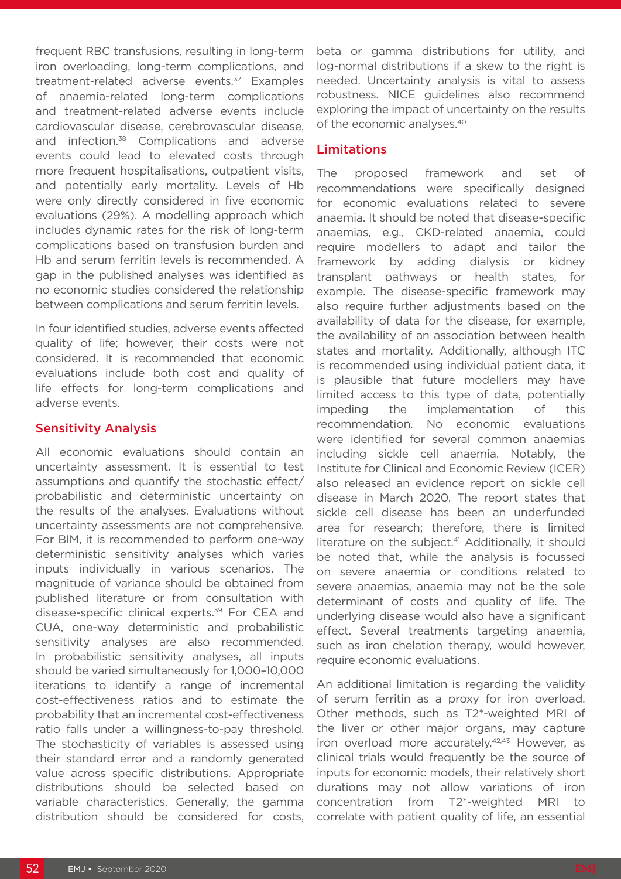frequent RBC transfusions, resulting in long-term iron overloading, long-term complications, and treatment-related adverse events.<sup>37</sup> Examples of anaemia-related long-term complications and treatment-related adverse events include cardiovascular disease, cerebrovascular disease, and infection.38 Complications and adverse events could lead to elevated costs through more frequent hospitalisations, outpatient visits, and potentially early mortality. Levels of Hb were only directly considered in five economic evaluations (29%). A modelling approach which includes dynamic rates for the risk of long-term complications based on transfusion burden and Hb and serum ferritin levels is recommended. A gap in the published analyses was identified as no economic studies considered the relationship between complications and serum ferritin levels.

In four identified studies, adverse events affected quality of life; however, their costs were not considered. It is recommended that economic evaluations include both cost and quality of life effects for long-term complications and adverse events.

#### Sensitivity Analysis

All economic evaluations should contain an uncertainty assessment. It is essential to test assumptions and quantify the stochastic effect/ probabilistic and deterministic uncertainty on the results of the analyses. Evaluations without uncertainty assessments are not comprehensive. For BIM, it is recommended to perform one-way deterministic sensitivity analyses which varies inputs individually in various scenarios. The magnitude of variance should be obtained from published literature or from consultation with disease-specific clinical experts.<sup>39</sup> For CEA and CUA, one-way deterministic and probabilistic sensitivity analyses are also recommended. In probabilistic sensitivity analyses, all inputs should be varied simultaneously for 1,000–10,000 iterations to identify a range of incremental cost-effectiveness ratios and to estimate the probability that an incremental cost-effectiveness ratio falls under a willingness-to-pay threshold. The stochasticity of variables is assessed using their standard error and a randomly generated value across specific distributions. Appropriate distributions should be selected based on variable characteristics. Generally, the gamma distribution should be considered for costs,

beta or gamma distributions for utility, and log-normal distributions if a skew to the right is needed. Uncertainty analysis is vital to assess robustness. NICE guidelines also recommend exploring the impact of uncertainty on the results of the economic analyses.40

#### Limitations

The proposed framework and set of recommendations were specifically designed for economic evaluations related to severe anaemia. It should be noted that disease-specific anaemias, e.g., CKD-related anaemia, could require modellers to adapt and tailor the framework by adding dialysis or kidney transplant pathways or health states, for example. The disease-specific framework may also require further adjustments based on the availability of data for the disease, for example, the availability of an association between health states and mortality. Additionally, although ITC is recommended using individual patient data, it is plausible that future modellers may have limited access to this type of data, potentially impeding the implementation of this recommendation. No economic evaluations were identified for several common anaemias including sickle cell anaemia. Notably, the Institute for Clinical and Economic Review (ICER) also released an evidence report on sickle cell disease in March 2020. The report states that sickle cell disease has been an underfunded area for research; therefore, there is limited literature on the subject.<sup>41</sup> Additionally, it should be noted that, while the analysis is focussed on severe anaemia or conditions related to severe anaemias, anaemia may not be the sole determinant of costs and quality of life. The underlying disease would also have a significant effect. Several treatments targeting anaemia, such as iron chelation therapy, would however, require economic evaluations.

An additional limitation is regarding the validity of serum ferritin as a proxy for iron overload. Other methods, such as T2\*-weighted MRI of the liver or other major organs, may capture iron overload more accurately.<sup>42,43</sup> However, as clinical trials would frequently be the source of inputs for economic models, their relatively short durations may not allow variations of iron concentration from T2\*-weighted MRI to correlate with patient quality of life, an essential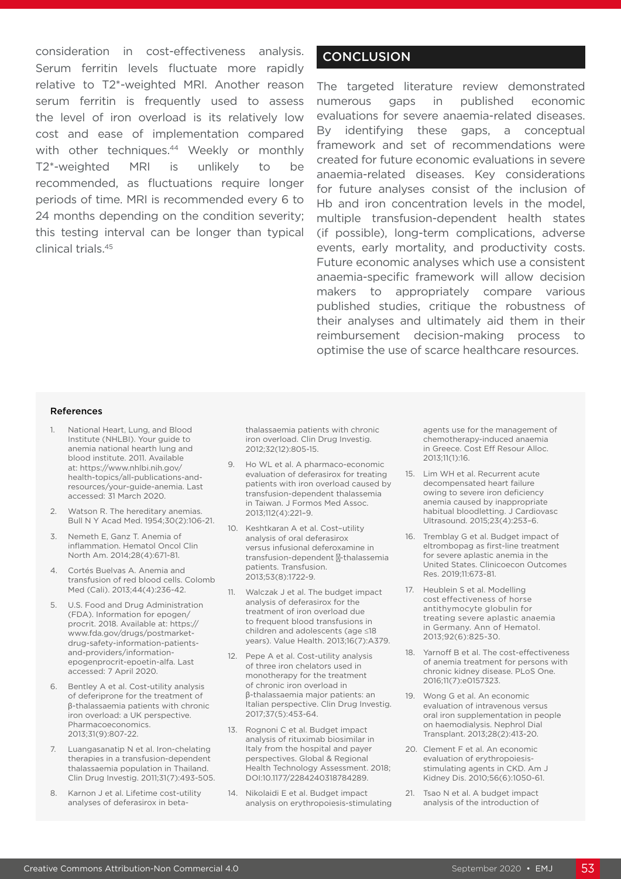consideration in cost-effectiveness analysis. Serum ferritin levels fluctuate more rapidly relative to T2\*-weighted MRI. Another reason serum ferritin is frequently used to assess the level of iron overload is its relatively low cost and ease of implementation compared with other techniques.<sup>44</sup> Weekly or monthly T2\*-weighted MRI is unlikely to be recommended, as fluctuations require longer periods of time. MRI is recommended every 6 to 24 months depending on the condition severity; this testing interval can be longer than typical clinical trials.45

### **CONCLUSION**

The targeted literature review demonstrated numerous gaps in published economic evaluations for severe anaemia-related diseases. By identifying these gaps, a conceptual framework and set of recommendations were created for future economic evaluations in severe anaemia-related diseases. Key considerations for future analyses consist of the inclusion of Hb and iron concentration levels in the model, multiple transfusion-dependent health states (if possible), long-term complications, adverse events, early mortality, and productivity costs. Future economic analyses which use a consistent anaemia-specific framework will allow decision makers to appropriately compare various published studies, critique the robustness of their analyses and ultimately aid them in their reimbursement decision-making process to optimise the use of scarce healthcare resources.

#### References

- 1. National Heart, Lung, and Blood Institute (NHLBI). Your guide to anemia national hearth lung and blood institute. 2011. Available at: https://www.nhlbi.nih.gov/ health-topics/all-publications-andresources/your-guide-anemia. Last accessed: 31 March 2020.
- 2. Watson R. The hereditary anemias. Bull N Y Acad Med. 1954;30(2):106-21.
- 3. Nemeth E, Ganz T. Anemia of inflammation. Hematol Oncol Clin North Am. 2014;28(4):671-81.
- 4. Cortés Buelvas A. Anemia and transfusion of red blood cells. Colomb Med (Cali). 2013;44(4):236-42.
- 5. U.S. Food and Drug Administration (FDA). Information for epogen/ procrit. 2018. Available at: https:// www.fda.gov/drugs/postmarketdrug-safety-information-patientsand-providers/informationepogenprocrit-epoetin-alfa. Last accessed: 7 April 2020.
- 6. Bentley A et al. Cost-utility analysis of deferiprone for the treatment of β-thalassaemia patients with chronic iron overload: a UK perspective. Pharmacoeconomics. 2013;31(9):807-22.
- 7. Luangasanatip N et al. Iron-chelating therapies in a transfusion-dependent thalassaemia population in Thailand. Clin Drug Investig. 2011;31(7):493-505.
- 8. Karnon J et al. Lifetime cost-utility analyses of deferasirox in beta-

thalassaemia patients with chronic iron overload. Clin Drug Investig. 2012;32(12):805-15.

- 9. Ho WL et al. A pharmaco-economic evaluation of deferasirox for treating patients with iron overload caused by transfusion-dependent thalassemia in Taiwan. J Formos Med Assoc. 2013;112(4):221–9.
- 10. Keshtkaran A et al. Cost–utility analysis of oral deferasirox versus infusional deferoxamine in transfusion-dependent -thalassemia patients. Transfusion. 2013;53(8):1722-9.
- 11. Walczak J et al. The budget impact analysis of deferasirox for the treatment of iron overload due to frequent blood transfusions in children and adolescents (age ≤18 years). Value Health. 2013;16(7):A379.
- 12. Pepe A et al. Cost-utility analysis of three iron chelators used in monotherapy for the treatment of chronic iron overload in β-thalassaemia major patients: an Italian perspective. Clin Drug Investig. 2017;37(5):453-64.
- 13. Rognoni C et al. Budget impact analysis of rituximab biosimilar in Italy from the hospital and payer perspectives. Global & Regional Health Technology Assessment. 2018; DOI:10.1177/2284240318784289.
- 14. Nikolaidi E et al. Budget impact analysis on erythropoiesis-stimulating

agents use for the management of chemotherapy-induced anaemia in Greece. Cost Eff Resour Alloc. 2013;11(1):16.

- 15. Lim WH et al. Recurrent acute decompensated heart failure owing to severe iron deficiency anemia caused by inappropriate habitual bloodletting. J Cardiovasc Ultrasound. 2015;23(4):253–6.
- 16. Tremblay G et al. Budget impact of eltrombopag as first-line treatment for severe aplastic anemia in the United States. Clinicoecon Outcomes Res. 2019;11:673-81.
- 17. Heublein S et al. Modelling cost effectiveness of horse antithymocyte globulin for treating severe aplastic anaemia in Germany. Ann of Hematol. 2013;92(6):825-30.
- 18. Yarnoff B et al. The cost-effectiveness of anemia treatment for persons with chronic kidney disease. PLoS One. 2016;11(7):e0157323.
- 19. Wong G et al. An economic evaluation of intravenous versus oral iron supplementation in people on haemodialysis. Nephrol Dial Transplant. 2013;28(2):413-20.
- 20. Clement F et al. An economic evaluation of erythropoiesisstimulating agents in CKD. Am J Kidney Dis. 2010;56(6):1050-61.
- 21. Tsao N et al. A budget impact analysis of the introduction of